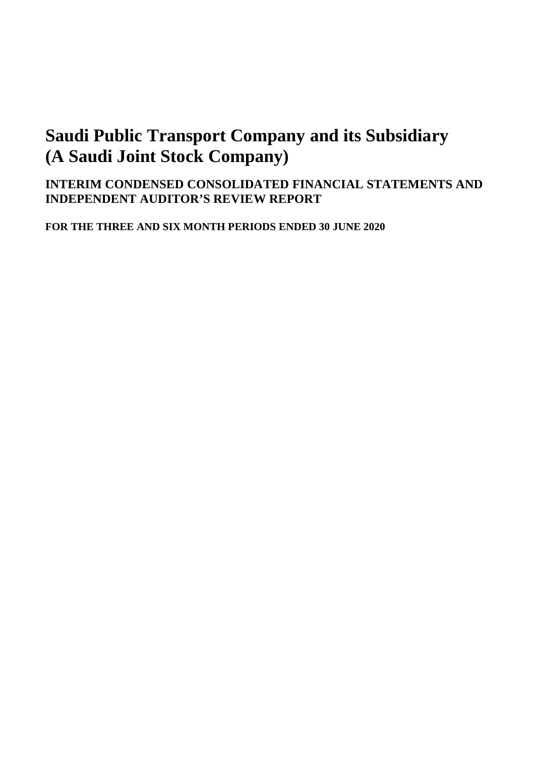## **INTERIM CONDENSED CONSOLIDATED FINANCIAL STATEMENTS AND INDEPENDENT AUDITOR'S REVIEW REPORT**

**FOR THE THREE AND SIX MONTH PERIODS ENDED 30 JUNE 2020**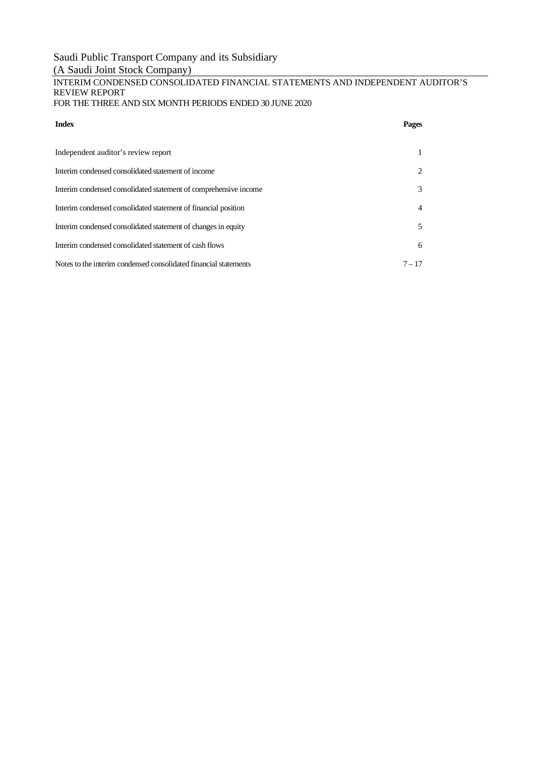# Saudi Public Transport Company and its Subsidiary

# (A Saudi Joint Stock Company)

#### INTERIM CONDENSED CONSOLIDATED FINANCIAL STATEMENTS AND INDEPENDENT AUDITOR'S REVIEW REPORT FOR THE THREE AND SIX MONTH PERIODS ENDED 30 JUNE 2020

| <b>Index</b>                                                     | Pages    |
|------------------------------------------------------------------|----------|
| Independent auditor's review report                              |          |
| Interim condensed consolidated statement of income               | 2        |
| Interim condensed consolidated statement of comprehensive income | 3        |
| Interim condensed consolidated statement of financial position   | 4        |
| Interim condensed consolidated statement of changes in equity    | 5        |
| Interim condensed consolidated statement of cash flows           | 6        |
| Notes to the interim condensed consolidated financial statements | $7 - 17$ |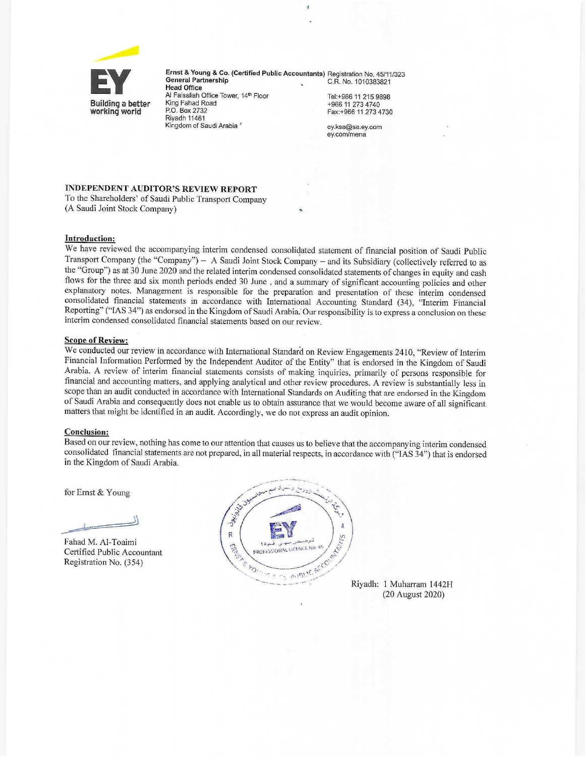

Ernst & Young & Co. (Certified Public Accountants) Registration No. 45/11/323 **General Partnership** C.R. No. 1010383821 **Head Office** Al Faisaliah Office Tower, 14th Floor Tel:+966 11 215 9898 King Fahad Road

+966 11 273 4740 Fax:+966 11 273 4730

ey.ksa@sa.ey.com ey.com/mena

### **INDEPENDENT AUDITOR'S REVIEW REPORT**

To the Shareholders' of Saudi Public Transport Company (A Saudi Joint Stock Company)

P.O. Box 2732

Riyadh 11461

Kingdom of Saudi Arabia

#### **Introduction:**

We have reviewed the accompanying interim condensed consolidated statement of financial position of Saudi Public Transport Company (the "Company") - A Saudi Joint Stock Company - and its Subsidiary (collectively referred to as the "Group") as at 30 June 2020 and the related interim condensed consolidated statements of changes in equity and cash flows for the three and six month periods ended 30 June, and a summary of significant accounting policies and other explanatory notes. Management is responsible for the preparation and presentation of these interim condensed consolidated financial statements in accordance with International Accounting Standard (34), "Interim Financial Reporting" ("IAS 34") as endorsed in the Kingdom of Saudi Arabia. Our responsibility is to express a conclusion on these interim condensed consolidated financial statements based on our review.

#### **Scope of Review:**

We conducted our review in accordance with International Standard on Review Engagements 2410, "Review of Interim Financial Information Performed by the Independent Auditor of the Entity" that is endorsed in the Kingdom of Saudi Arabia. A review of interim financial statements consists of making inquiries, primarily of persons responsible for financial and accounting matters, and applying analytical and other review procedures. A review is substantially less in scope than an audit conducted in accordance with International Standards on Auditing that are endorsed in the Kingdom of Saudi Arabia and consequently does not enable us to obtain assurance that we would become aware of all significant matters that might be identified in an audit. Accordingly, we do not express an audit opinion.

#### **Conclusion:**

Based on our review, nothing has come to our attention that causes us to believe that the accompanying interim condensed consolidated financial statements are not prepared, in all material respects, in accordance with ("IAS 34") that is endorsed in the Kingdom of Saudi Arabia.

for Ernst & Young

Fahad M. Al-Toaimi Certified Public Accountant Registration No. (354)



Riyadh: 1 Muharram 1442H (20 August 2020)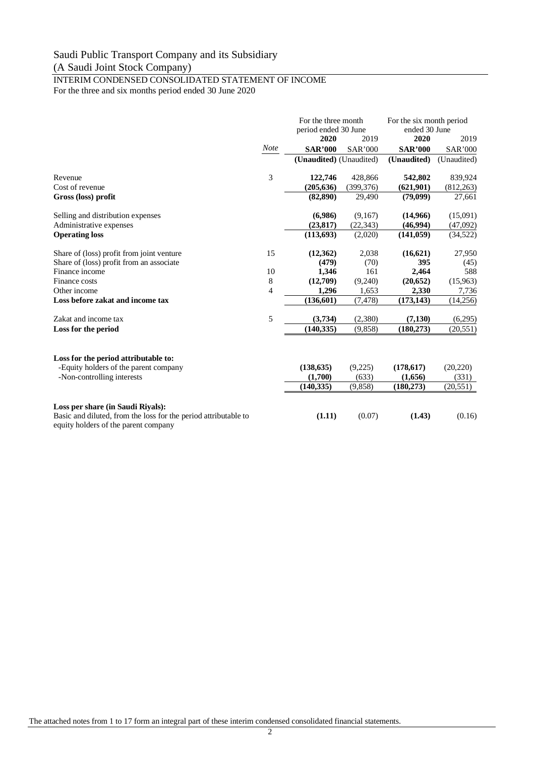#### INTERIM CONDENSED CONSOLIDATED STATEMENT OF INCOME For the three and six months period ended 30 June 2020

|                                                                                                         |             | For the three month<br>period ended 30 June |                | For the six month period<br>ended 30 June |                |
|---------------------------------------------------------------------------------------------------------|-------------|---------------------------------------------|----------------|-------------------------------------------|----------------|
|                                                                                                         |             | 2020                                        | 2019           | 2020                                      | 2019           |
|                                                                                                         | <b>Note</b> | <b>SAR'000</b>                              | <b>SAR'000</b> | <b>SAR'000</b>                            | <b>SAR'000</b> |
|                                                                                                         |             | (Unaudited) (Unaudited)                     |                | (Unaudited)                               | (Unaudited)    |
| Revenue                                                                                                 | 3           | 122,746                                     | 428,866        | 542,802                                   | 839,924        |
| Cost of revenue                                                                                         |             | (205, 636)                                  | (399, 376)     | (621,901)                                 | (812, 263)     |
| Gross (loss) profit                                                                                     |             | (82, 890)                                   | 29,490         | (79,099)                                  | 27,661         |
| Selling and distribution expenses                                                                       |             | (6,986)                                     | (9,167)        | (14,966)                                  | (15,091)       |
| Administrative expenses                                                                                 |             | (23, 817)                                   | (22, 343)      | (46,994)                                  | (47,092)       |
| <b>Operating loss</b>                                                                                   |             | (113,693)                                   | (2,020)        | (141, 059)                                | (34, 522)      |
| Share of (loss) profit from joint venture                                                               | 15          | (12,362)                                    | 2,038          | (16,621)                                  | 27,950         |
| Share of (loss) profit from an associate                                                                |             | (479)                                       | (70)           | 395                                       | (45)           |
| Finance income                                                                                          | 10          | 1,346                                       | 161            | 2,464                                     | 588            |
| Finance costs                                                                                           | 8           | (12,709)                                    | (9,240)        | (20,652)                                  | (15,963)       |
| Other income                                                                                            | 4           | 1,296                                       | 1,653          | 2,330                                     | 7,736          |
| Loss before zakat and income tax                                                                        |             | (136, 601)                                  | (7, 478)       | (173, 143)                                | (14,256)       |
| Zakat and income tax                                                                                    | 5           | (3,734)                                     | (2,380)        | (7,130)                                   | (6,295)        |
| Loss for the period                                                                                     |             | (140, 335)                                  | (9,858)        | (180, 273)                                | (20, 551)      |
|                                                                                                         |             |                                             |                |                                           |                |
| Loss for the period attributable to:                                                                    |             |                                             |                |                                           |                |
| -Equity holders of the parent company                                                                   |             | (138, 635)                                  | (9,225)        | (178, 617)                                | (20, 220)      |
| -Non-controlling interests                                                                              |             | (1,700)                                     | (633)          | (1,656)                                   | (331)          |
|                                                                                                         |             | (140, 335)                                  | (9,858)        | (180, 273)                                | (20, 551)      |
| Loss per share (in Saudi Riyals):                                                                       |             |                                             |                |                                           |                |
| Basic and diluted, from the loss for the period attributable to<br>equity holders of the parent company |             | (1.11)                                      | (0.07)         | (1.43)                                    | (0.16)         |

The attached notes from 1 to 17 form an integral part of these interim condensed consolidated financial statements.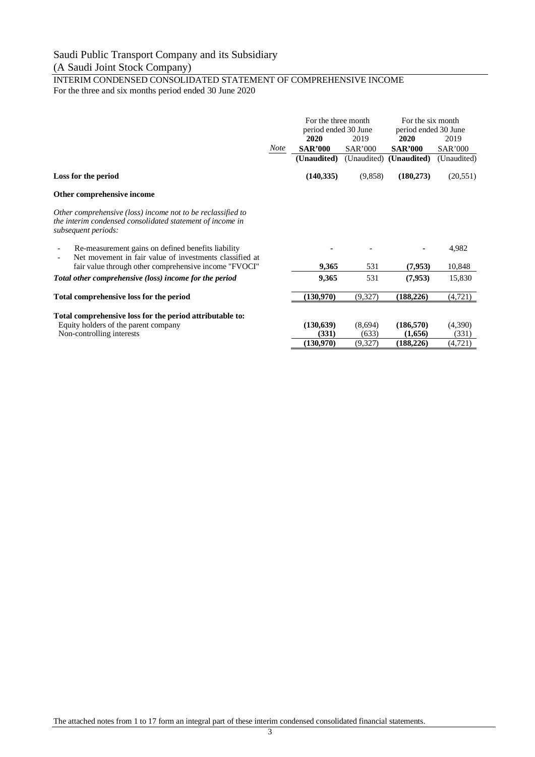#### INTERIM CONDENSED CONSOLIDATED STATEMENT OF COMPREHENSIVE INCOME For the three and six months period ended 30 June 2020

|                                                                                                                                                 |             | For the three month<br>period ended 30 June |                | For the six month<br>period ended 30 June |                |
|-------------------------------------------------------------------------------------------------------------------------------------------------|-------------|---------------------------------------------|----------------|-------------------------------------------|----------------|
|                                                                                                                                                 |             | 2020                                        | 2019           | <b>2020</b>                               | 2019           |
|                                                                                                                                                 | <b>Note</b> | <b>SAR'000</b>                              | <b>SAR'000</b> | <b>SAR'000</b>                            | <b>SAR'000</b> |
|                                                                                                                                                 |             | (Unaudited)                                 |                | (Unaudited) (Unaudited)                   | (Unaudited)    |
| Loss for the period                                                                                                                             |             | (140, 335)                                  | (9,858)        | (180, 273)                                | (20, 551)      |
| Other comprehensive income                                                                                                                      |             |                                             |                |                                           |                |
| Other comprehensive (loss) income not to be reclassified to<br>the interim condensed consolidated statement of income in<br>subsequent periods: |             |                                             |                |                                           |                |
| Re-measurement gains on defined benefits liability<br>Net movement in fair value of investments classified at                                   |             |                                             |                |                                           | 4,982          |
| fair value through other comprehensive income "FVOCI"                                                                                           |             | 9,365                                       | 531            | (7,953)                                   | 10,848         |
| Total other comprehensive (loss) income for the period                                                                                          |             | 9,365                                       | 531            | (7,953)                                   | 15,830         |
| Total comprehensive loss for the period                                                                                                         |             | (130,970)                                   | (9,327)        | (188, 226)                                | (4,721)        |
| Total comprehensive loss for the period attributable to:                                                                                        |             |                                             |                |                                           |                |
| Equity holders of the parent company                                                                                                            |             | (130, 639)                                  | (8,694)        | (186, 570)                                | (4,390)        |
| Non-controlling interests                                                                                                                       |             | (331)                                       | (633)          | (1,656)                                   | (331)          |
|                                                                                                                                                 |             | (130,970)                                   | (9,327)        | (188, 226)                                | (4, 721)       |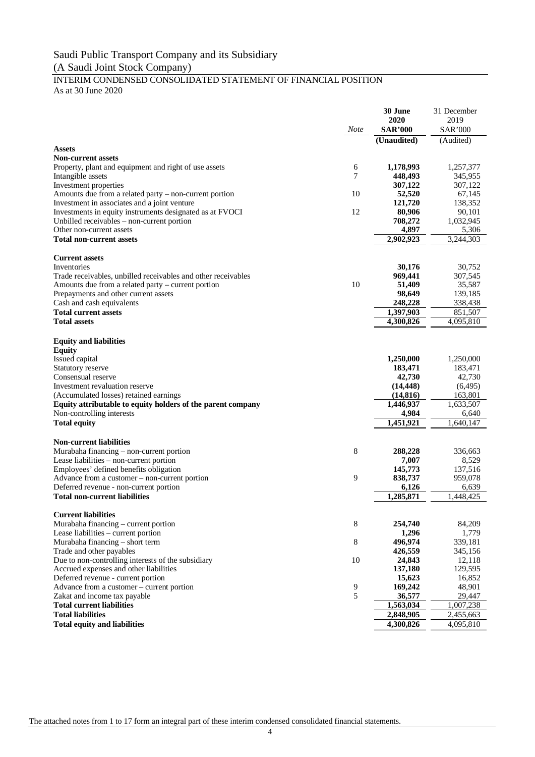#### INTERIM CONDENSED CONSOLIDATED STATEMENT OF FINANCIAL POSITION As at 30 June 2020

**30 June 2020** 31 December 2019 *Note* **SAR'000** SAR'000 **(Unaudited)** (Audited) **Assets Non-current assets** Property, plant and equipment and right of use assets 6 **1,178,993** 1,257,377 Intangible assets 345,955<br>
Investment properties 307.122 307.122 307.122 **Investment properties** Amounts due from a related party – non-current portion 10 52,520 67,145<br>Investment in associates and a joint venture 121,720 138,352 Investment in associates and a joint venture **121,720**<br>Investments in equity instruments designated as at FVOCI 12 80,906 Investments in equity instruments designated as at FVOCI 12 80,906 90,101 Unbilled receivables – non-current portion **708,272** 1,032,945<br>Other non-current assets **4,897** 5,306 Other non-current assets **Total non-current assets 2,902,923** 3,244,303 **Current assets** Inventories **30,176** 30,752 Trade receivables, unbilled receivables and other receivables **969,441** 307,545 Amounts due from a related party – current portion 10 **51,409** 35,587<br>Prepayments and other current assets **98.649** 139,185 Prepayments and other current assets **98,649** 139,185<br>
Cash and cash equivalents **98,649** 139,185 Cash and cash equivalents **Total current assets 1,397,903** 851,507<br> **1,397,903** 851,507<br> **1,397,903** 8526<br> **1,397,903** 8526<br> **1,397,903** 8526<br> **1,300,826 Total assets 4,300,826** 4,095,810 **Equity and liabilities Equity 1,250,000** 1,250,000 1,250,000 Statutory reserve **183,471** 183,471 183,471 Consensual reserve **42,730** 42,730 Investment revaluation reserve **(14,448)** (6,495) (Accumulated losses) retained earnings **(14,816)** 163,801 **Equity attributable to equity holders of the parent company** 1,446,937 1,633,507 Non-controlling interests **4,984** 6,640 **Total equity 1,451,921** 1,640,147 **Non-current liabilities** Murabaha financing – non-current portion **8 288,228** 336,663<br>
Lease liabilities – non-current portion **8** 288,228 336,663 Lease liabilities – non-current portion **7,007** 8,529<br>Employees' defined benefits obligation **7,007** 8,529<br>137,516 Employees' defined benefits obligation **145,773** 137,516<br>Advance from a customer – non-current portion **145,773** 137,516 Advance from a customer – non-current portion Deferred revenue - non-current portion **6,126** 6,639 **Total non-current liabilities 1,285,871** 1,448,425 **Current liabilities** Murabaha financing – current portion 8 **254,740** 84,209 Lease liabilities – current portion **1,296** 1,779 Murabaha financing – short term **8 496,974** 339,181<br>Trade and other navables 426.559 345.156 Trade and other payables Due to non-controlling interests of the subsidiary 10 **24,843** 12,118<br>Accrued expenses and other liabilities 137.180 129.595 Accrued expenses and other liabilities **137,180** 129,595<br>Deferred revenue - current portion **15.623** 16.852 Deferred revenue - current portion **15,623** 16,852<br>
Advance from a customer – current portion **169,242** 169,242 48,901 Advance from a customer – current portion a set of the set of the set of the set of the set of the set of the set of the set of the set of the set of the set of the set of the set of the set of the set of the set of the se Zakat and income tax payable **Total current liabilities 1,563,034** 1,007,238 **Total liabilities 2,848,905** 2,455,663<br> **1999** 10:00 10:00 10:00 10:00 10:00 10:00 10:00 10:00 10:00 10:00 10:00 10:00 10:00 10:00 10:00 10:00 10:00 10:00 10:00 10:00 10:00 10:00 10:00 10:00 10:00 10:00 10:00 10:00 10:0 **Total equity and liabilities**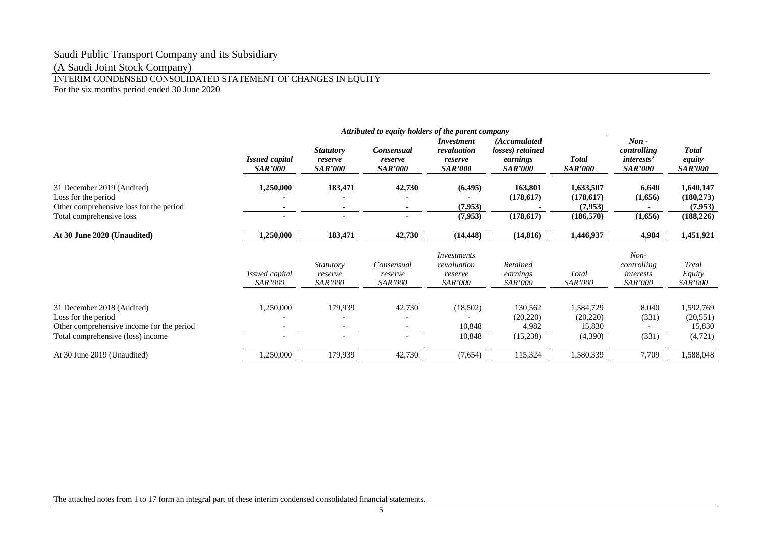### Saudi Public Transport Company and its Subsidiary

(A Saudi Joint Stock Company)

#### INTERIM CONDENSED CONSOLIDATED STATEMENT OF CHANGES IN EQUITY For the six months period ended 30 June 2020

|                                                                                                                                     | Attributed to equity holders of the parent company |                                               |                                         |                                                               |                                                                |                                                  |                                                               |                                                  |
|-------------------------------------------------------------------------------------------------------------------------------------|----------------------------------------------------|-----------------------------------------------|-----------------------------------------|---------------------------------------------------------------|----------------------------------------------------------------|--------------------------------------------------|---------------------------------------------------------------|--------------------------------------------------|
|                                                                                                                                     | <b>Issued capital</b><br><i>SAR'000</i>            | <b>Statutory</b><br>reserve<br><b>SAR'000</b> | Consensual<br>reserve<br><b>SAR'000</b> | <i>Investment</i><br>revaluation<br>reserve<br><b>SAR'000</b> | (Accumulated<br>losses) retained<br>earnings<br><i>SAR'000</i> | <b>Total</b><br><b>SAR'000</b>                   | $Non -$<br>controlling<br><i>interests'</i><br><b>SAR'000</b> | <b>Total</b><br>equity<br><b>SAR'000</b>         |
| 31 December 2019 (Audited)<br>Loss for the period<br>Other comprehensive loss for the period<br>Total comprehensive loss            | 1,250,000<br>$\blacksquare$                        | 183,471<br>$\sim$                             | 42,730                                  | (6, 495)<br>(7,953)<br>(7,953)                                | 163,801<br>(178,617)<br>(178, 617)                             | 1,633,507<br>(178,617)<br>(7, 953)<br>(186, 570) | 6,640<br>(1,656)<br>(1,656)                                   | 1,640,147<br>(180, 273)<br>(7,953)<br>(188, 226) |
| At 30 June 2020 (Unaudited)                                                                                                         | 1,250,000                                          | 183,471                                       | 42,730                                  | (14, 448)                                                     | (14, 816)                                                      | 1,446,937                                        | 4,984                                                         | 1,451,921                                        |
|                                                                                                                                     | <i>Issued capital</i><br><i>SAR'000</i>            | <b>Statutory</b><br>reserve<br>SAR'000        | Consensual<br>reserve<br>SAR'000        | Investments<br>revaluation<br>reserve<br><b>SAR'000</b>       | Retained<br>earnings<br><i>SAR'000</i>                         | Total<br>SAR'000                                 | $Non-$<br>controlling<br>interests<br><b>SAR'000</b>          | Total<br>Equity<br><b>SAR'000</b>                |
| 31 December 2018 (Audited)<br>Loss for the period<br>Other comprehensive income for the period<br>Total comprehensive (loss) income | 1,250,000<br>$\overline{\phantom{0}}$              | 179,939                                       | 42,730                                  | (18,502)<br>10,848<br>10,848                                  | 130,562<br>(20, 220)<br>4,982<br>(15,238)                      | 1,584,729<br>(20, 220)<br>15,830<br>(4,390)      | 8,040<br>(331)<br>(331)                                       | 1,592,769<br>(20, 551)<br>15,830<br>(4,721)      |
| At 30 June 2019 (Unaudited)                                                                                                         | ,250,000                                           | 179,939                                       | 42,730                                  | (7,654)                                                       | 115,324                                                        | ,580,339                                         | 7,709                                                         | 1,588,048                                        |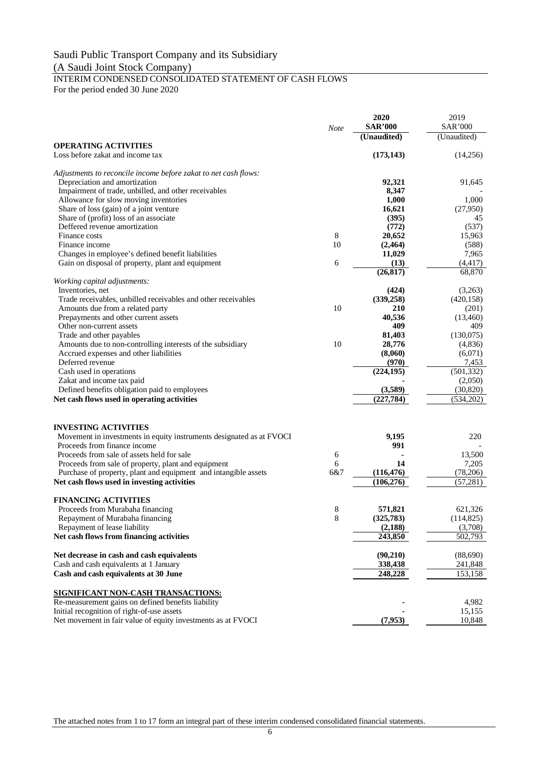# INTERIM CONDENSED CONSOLIDATED STATEMENT OF CASH FLOWS

For the period ended 30 June 2020

|                                                                                                                | <b>Note</b> | 2020<br><b>SAR'000</b> | 2019<br><b>SAR'000</b> |
|----------------------------------------------------------------------------------------------------------------|-------------|------------------------|------------------------|
|                                                                                                                |             | (Unaudited)            | (Unaudited)            |
| <b>OPERATING ACTIVITIES</b>                                                                                    |             |                        |                        |
| Loss before zakat and income tax                                                                               |             | (173, 143)             | (14,256)               |
| Adjustments to reconcile income before zakat to net cash flows:                                                |             |                        |                        |
| Depreciation and amortization                                                                                  |             | 92,321                 | 91,645                 |
| Impairment of trade, unbilled, and other receivables                                                           |             | 8,347                  |                        |
| Allowance for slow moving inventories                                                                          |             | 1,000                  | 1,000                  |
| Share of loss (gain) of a joint venture                                                                        |             | 16,621                 | (27,950)               |
| Share of (profit) loss of an associate<br>Deffered revenue amortization                                        |             | (395)<br>(772)         | 45<br>(537)            |
| Finance costs                                                                                                  | 8           | 20,652                 | 15,963                 |
| Finance income                                                                                                 | 10          | (2, 464)               | (588)                  |
| Changes in employee's defined benefit liabilities                                                              |             | 11,029                 | 7,965                  |
| Gain on disposal of property, plant and equipment                                                              | 6           | (13)                   | (4, 417)               |
|                                                                                                                |             | (26, 817)              | 68,870                 |
| Working capital adjustments:<br>Inventories, net                                                               |             |                        | (3,263)                |
| Trade receivables, unbilled receivables and other receivables                                                  |             | (424)<br>(339, 258)    | (420, 158)             |
| Amounts due from a related party                                                                               | 10          | 210                    | (201)                  |
| Prepayments and other current assets                                                                           |             | 40,536                 | (13,460)               |
| Other non-current assets                                                                                       |             | 409                    | 409                    |
| Trade and other payables                                                                                       |             | 81,403                 | (130,075)              |
| Amounts due to non-controlling interests of the subsidiary                                                     | 10          | 28,776                 | (4,836)                |
| Accrued expenses and other liabilities                                                                         |             | (8,060)                | (6,071)                |
| Deferred revenue                                                                                               |             | (970)                  | 7,453                  |
| Cash used in operations                                                                                        |             | (224, 195)             | (501, 332)             |
| Zakat and income tax paid                                                                                      |             |                        | (2,050)                |
| Defined benefits obligation paid to employees                                                                  |             | (3,589)                | (30, 820)              |
| Net cash flows used in operating activities                                                                    |             | (227,784)              | (534,202)              |
|                                                                                                                |             |                        |                        |
| <b>INVESTING ACTIVITIES</b>                                                                                    |             |                        |                        |
| Movement in investments in equity instruments designated as at FVOCI                                           |             | 9,195                  | 220                    |
| Proceeds from finance income                                                                                   |             | 991                    |                        |
| Proceeds from sale of assets held for sale                                                                     | 6           | 14                     | 13,500                 |
| Proceeds from sale of property, plant and equipment                                                            | 6<br>6&7    | (116, 476)             | 7,205<br>(78,206)      |
| Purchase of property, plant and equipment and intangible assets<br>Net cash flows used in investing activities |             | (106, 276)             | (57, 281)              |
|                                                                                                                |             |                        |                        |
| <b>FINANCING ACTIVITIES</b>                                                                                    |             |                        |                        |
| Proceeds from Murabaha financing                                                                               | 8           | 571,821                | 621,326                |
| Repayment of Murabaha financing                                                                                | 8           | (325,783)              | (114,825)              |
| Repayment of lease liability                                                                                   |             | (2,188)                | (3,708)                |
| Net cash flows from financing activities                                                                       |             | 243,850                | 502,793                |
| Net decrease in cash and cash equivalents                                                                      |             | (90, 210)              | (88,690)               |
| Cash and cash equivalents at 1 January                                                                         |             | 338,438                | 241,848                |
| Cash and cash equivalents at 30 June                                                                           |             | 248,228                | 153,158                |
| <b>SIGNIFICANT NON-CASH TRANSACTIONS:</b>                                                                      |             |                        |                        |
| Re-measurement gains on defined benefits liability                                                             |             |                        | 4,982                  |
| Initial recognition of right-of-use assets                                                                     |             |                        | 15,155                 |
| Net movement in fair value of equity investments as at FVOCI                                                   |             | (7,953)                | 10,848                 |

The attached notes from 1 to 17 form an integral part of these interim condensed consolidated financial statements.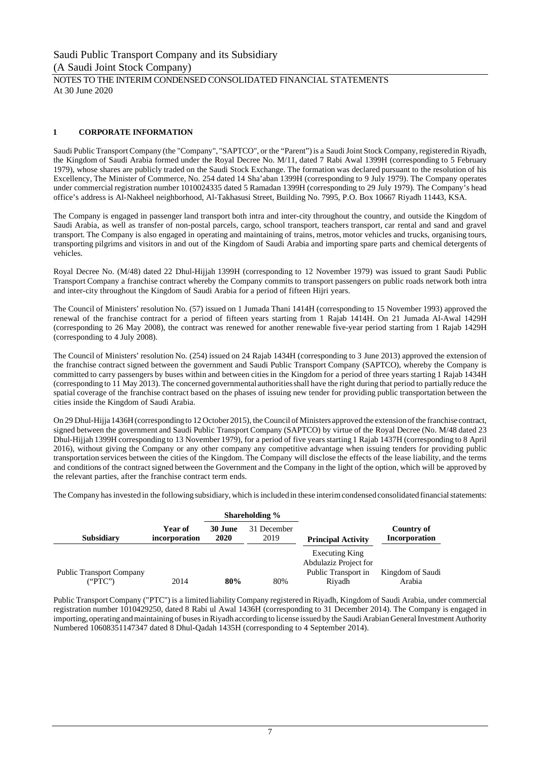#### NOTES TO THE INTERIM CONDENSED CONSOLIDATED FINANCIAL STATEMENTS At 30 June 2020

#### **1 CORPORATE INFORMATION**

Saudi Public Transport Company (the "Company", "SAPTCO", or the "Parent") is a Saudi Joint Stock Company, registered in Riyadh, the Kingdom of Saudi Arabia formed under the Royal Decree No. M/11, dated 7 Rabi Awal 1399H (corresponding to 5 February 1979), whose shares are publicly traded on the Saudi Stock Exchange. The formation was declared pursuant to the resolution of his Excellency, The Minister of Commerce, No. 254 dated 14 Sha'aban 1399H (corresponding to 9 July 1979). The Company operates under commercial registration number 1010024335 dated 5 Ramadan 1399H (corresponding to 29 July 1979). The Company's head office's address is Al-Nakheel neighborhood, Al-Takhasusi Street, Building No. 7995, P.O. Box 10667 Riyadh 11443, KSA.

The Company is engaged in passenger land transport both intra and inter-city throughout the country, and outside the Kingdom of Saudi Arabia, as well as transfer of non-postal parcels, cargo, school transport, teachers transport, car rental and sand and gravel transport. The Company is also engaged in operating and maintaining of trains, metros, motor vehicles and trucks, organising tours, transporting pilgrims and visitors in and out of the Kingdom of Saudi Arabia and importing spare parts and chemical detergents of vehicles.

Royal Decree No. (M/48) dated 22 Dhul-Hijjah 1399H (corresponding to 12 November 1979) was issued to grant Saudi Public Transport Company a franchise contract whereby the Company commits to transport passengers on public roads network both intra and inter-city throughout the Kingdom of Saudi Arabia for a period of fifteen Hijri years.

The Council of Ministers' resolution No. (57) issued on 1 Jumada Thani 1414H (corresponding to 15 November 1993) approved the renewal of the franchise contract for a period of fifteen years starting from 1 Rajab 1414H. On 21 Jumada Al-Awal 1429H (corresponding to 26 May 2008), the contract was renewed for another renewable five-year period starting from 1 Rajab 1429H (corresponding to 4 July 2008).

The Council of Ministers' resolution No. (254) issued on 24 Rajab 1434H (corresponding to 3 June 2013) approved the extension of the franchise contract signed between the government and Saudi Public Transport Company (SAPTCO), whereby the Company is committed to carry passengers by buses within and between cities in the Kingdom for a period of three years starting 1 Rajab 1434H (corresponding to 11 May 2013). The concerned governmental authorities shall have the right during that period to partially reduce the spatial coverage of the franchise contract based on the phases of issuing new tender for providing public transportation between the cities inside the Kingdom of Saudi Arabia.

On 29 Dhul-Hijja 1436H (corresponding to 12 October 2015), the Council of Ministers approved the extension of the franchise contract, signed between the government and Saudi Public Transport Company (SAPTCO) by virtue of the Royal Decree (No. M/48 dated 23 Dhul-Hijjah 1399H corresponding to 13 November 1979), for a period of five years starting 1 Rajab 1437H (corresponding to 8 April 2016), without giving the Company or any other company any competitive advantage when issuing tenders for providing public transportation services between the cities of the Kingdom. The Company will disclose the effects of the lease liability, and the terms and conditions of the contract signed between the Government and the Company in the light of the option, which will be approved by the relevant parties, after the franchise contract term ends.

The Company has invested in the following subsidiary, which is included in these interim condensed consolidated financial statements:

|                                 |                          |                 | Shareholding %      |                                         |                                    |
|---------------------------------|--------------------------|-----------------|---------------------|-----------------------------------------|------------------------------------|
| <b>Subsidiary</b>               | Year of<br>incorporation | 30 June<br>2020 | 31 December<br>2019 | <b>Principal Activity</b>               | Country of<br><b>Incorporation</b> |
|                                 |                          |                 |                     | Executing King<br>Abdulaziz Project for |                                    |
| <b>Public Transport Company</b> |                          |                 |                     | Public Transport in                     | Kingdom of Saudi                   |
| ("PTC")                         | 2014                     | 80%             | 80%                 | Rivadh                                  | Arabia                             |

Public Transport Company ("PTC") is a limited liability Company registered in Riyadh, Kingdom of Saudi Arabia, under commercial registration number 1010429250, dated 8 Rabi ul Awal 1436H (corresponding to 31 December 2014). The Company is engaged in importing, operating and maintaining of buses in Riyadh according to license issued by the Saudi Arabian General Investment Authority Numbered 10608351147347 dated 8 Dhul-Qadah 1435H (corresponding to 4 September 2014).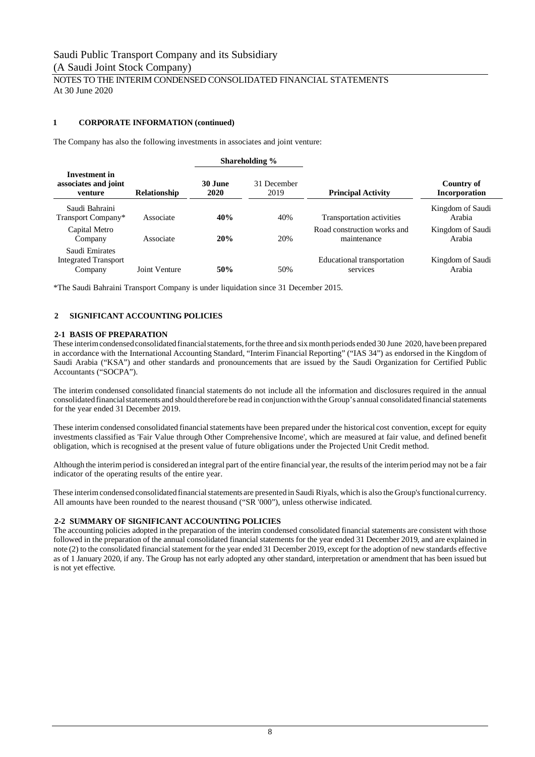#### NOTES TO THE INTERIM CONDENSED CONSOLIDATED FINANCIAL STATEMENTS At 30 June 2020

#### **1 CORPORATE INFORMATION (continued)**

The Company has also the following investments in associates and joint venture:

|                                                          |                     |                 | Shareholding %      |                                            |                                    |
|----------------------------------------------------------|---------------------|-----------------|---------------------|--------------------------------------------|------------------------------------|
| Investment in<br>associates and joint<br>venture         | <b>Relationship</b> | 30 June<br>2020 | 31 December<br>2019 | <b>Principal Activity</b>                  | Country of<br><b>Incorporation</b> |
| Saudi Bahraini<br>Transport Company*                     | Associate           | 40%             | 40%                 | Transportation activities                  | Kingdom of Saudi<br>Arabia         |
| Capital Metro<br>Company                                 | Associate           | 20%             | 20%                 | Road construction works and<br>maintenance | Kingdom of Saudi<br>Arabia         |
| Saudi Emirates<br><b>Integrated Transport</b><br>Company | Joint Venture       | 50%             | 50%                 | Educational transportation<br>services     | Kingdom of Saudi<br>Arabia         |

\*The Saudi Bahraini Transport Company is under liquidation since 31 December 2015.

#### **2 SIGNIFICANT ACCOUNTING POLICIES**

#### **2-1 BASIS OF PREPARATION**

These interim condensed consolidated financial statements, for the three and six month periods ended 30 June 2020, have been prepared in accordance with the International Accounting Standard, "Interim Financial Reporting" ("IAS 34") as endorsed in the Kingdom of Saudi Arabia ("KSA") and other standards and pronouncements that are issued by the Saudi Organization for Certified Public Accountants ("SOCPA").

The interim condensed consolidated financial statements do not include all the information and disclosures required in the annual consolidated financial statements and should therefore be read in conjunction with the Group's annual consolidated financial statements for the year ended 31 December 2019.

These interim condensed consolidated financial statements have been prepared under the historical cost convention, except for equity investments classified as 'Fair Value through Other Comprehensive Income', which are measured at fair value, and defined benefit obligation, which is recognised at the present value of future obligations under the Projected Unit Credit method.

Although the interim period is considered an integral part of the entire financial year, the results of the interim period may not be a fair indicator of the operating results of the entire year.

These interim condensed consolidated financial statements are presented in Saudi Riyals, which is also the Group's functional currency. All amounts have been rounded to the nearest thousand ("SR '000"), unless otherwise indicated.

#### **2-2 SUMMARY OF SIGNIFICANT ACCOUNTING POLICIES**

The accounting policies adopted in the preparation of the interim condensed consolidated financial statements are consistent with those followed in the preparation of the annual consolidated financial statements for the year ended 31 December 2019, and are explained in note (2) to the consolidated financial statement for the year ended 31 December 2019, except for the adoption of new standards effective as of 1 January 2020, if any. The Group has not early adopted any other standard, interpretation or amendment that has been issued but is not yet effective.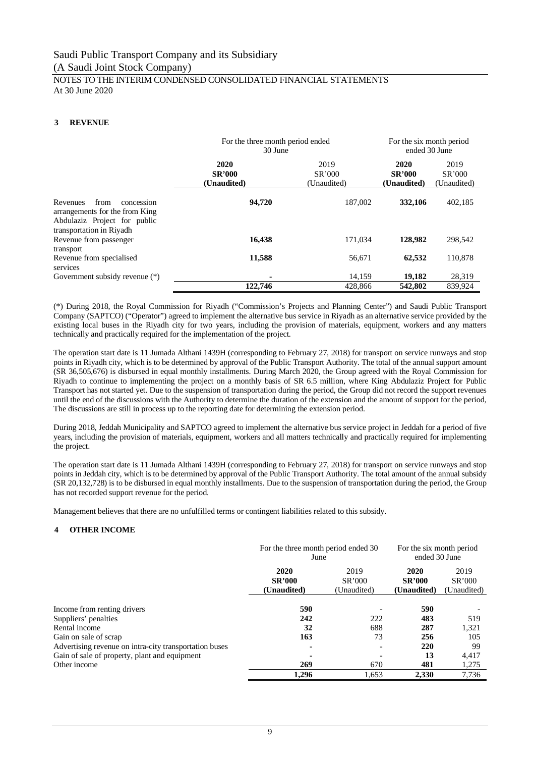#### NOTES TO THE INTERIM CONDENSED CONSOLIDATED FINANCIAL STATEMENTS At 30 June 2020

#### **3 REVENUE**

|                                                                                                                              | For the three month period ended<br>30 June | For the six month period<br>ended 30 June |                                      |                               |
|------------------------------------------------------------------------------------------------------------------------------|---------------------------------------------|-------------------------------------------|--------------------------------------|-------------------------------|
|                                                                                                                              | 2020<br><b>SR'000</b><br>(Unaudited)        | 2019<br>SR'000<br>(Unaudited)             | 2020<br><b>SR'000</b><br>(Unaudited) | 2019<br>SR'000<br>(Unaudited) |
| Revenues<br>from<br>concession<br>arrangements for the from King<br>Abdulaziz Project for public<br>transportation in Riyadh | 94,720                                      | 187,002                                   | 332,106                              | 402,185                       |
| Revenue from passenger<br>transport                                                                                          | 16,438                                      | 171.034                                   | 128,982                              | 298,542                       |
| Revenue from specialised<br>services                                                                                         | 11,588                                      | 56,671                                    | 62,532                               | 110,878                       |
| Government subsidy revenue (*)                                                                                               |                                             | 14.159                                    | 19,182                               | 28,319                        |
|                                                                                                                              | 122.746                                     | 428,866                                   | 542,802                              | 839.924                       |

(\*) During 2018, the Royal Commission for Riyadh ("Commission's Projects and Planning Center") and Saudi Public Transport Company (SAPTCO) ("Operator") agreed to implement the alternative bus service in Riyadh as an alternative service provided by the existing local buses in the Riyadh city for two years, including the provision of materials, equipment, workers and any matters technically and practically required for the implementation of the project.

The operation start date is 11 Jumada Althani 1439H (corresponding to February 27, 2018) for transport on service runways and stop points in Riyadh city, which is to be determined by approval of the Public Transport Authority. The total of the annual support amount (SR 36,505,676) is disbursed in equal monthly installments. During March 2020, the Group agreed with the Royal Commission for Riyadh to continue to implementing the project on a monthly basis of SR 6.5 million, where King Abdulaziz Project for Public Transport has not started yet. Due to the suspension of transportation during the period, the Group did not record the support revenues until the end of the discussions with the Authority to determine the duration of the extension and the amount of support for the period, The discussions are still in process up to the reporting date for determining the extension period.

During 2018, Jeddah Municipality and SAPTCO agreed to implement the alternative bus service project in Jeddah for a period of five years, including the provision of materials, equipment, workers and all matters technically and practically required for implementing the project.

The operation start date is 11 Jumada Althani 1439H (corresponding to February 27, 2018) for transport on service runways and stop points in Jeddah city, which is to be determined by approval of the Public Transport Authority. The total amount of the annual subsidy (SR 20,132,728) is to be disbursed in equal monthly installments. Due to the suspension of transportation during the period, the Group has not recorded support revenue for the period.

Management believes that there are no unfulfilled terms or contingent liabilities related to this subsidy.

#### **4 OTHER INCOME**

|                                                        | For the three month period ended 30<br>June | For the six month period<br>ended 30 June |                                      |                               |
|--------------------------------------------------------|---------------------------------------------|-------------------------------------------|--------------------------------------|-------------------------------|
|                                                        | 2020<br><b>SR'000</b><br>(Unaudited)        | 2019<br>SR'000<br>(Unaudited)             | 2020<br><b>SR'000</b><br>(Unaudited) | 2019<br>SR'000<br>(Unaudited) |
| Income from renting drivers                            | 590                                         |                                           | 590                                  |                               |
| Suppliers' penalties                                   | 242                                         | 222                                       | 483                                  | 519                           |
| Rental income                                          | 32                                          | 688                                       | 287                                  | 1,321                         |
| Gain on sale of scrap                                  | 163                                         | 73                                        | 256                                  | 105                           |
| Advertising revenue on intra-city transportation buses | ٠                                           | $\overline{\phantom{a}}$                  | 220                                  | 99                            |
| Gain of sale of property, plant and equipment          | ۰                                           |                                           | 13                                   | 4.417                         |
| Other income                                           | 269                                         | 670                                       | 481                                  | 1,275                         |
|                                                        | 1,296                                       | 1,653                                     | 2.330                                | 7.736                         |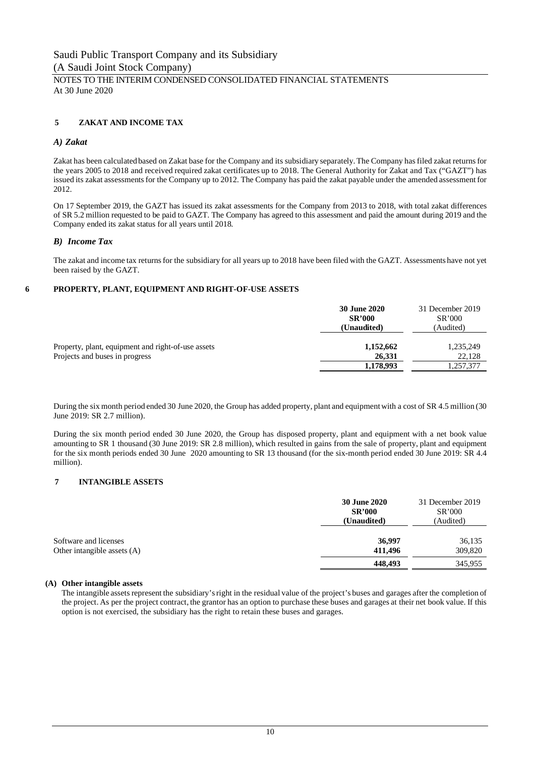#### NOTES TO THE INTERIM CONDENSED CONSOLIDATED FINANCIAL STATEMENTS At 30 June 2020

#### **5 ZAKAT AND INCOME TAX**

#### *A) Zakat*

Zakat has been calculated based on Zakat base for the Company and its subsidiary separately. The Company has filed zakat returns for the years 2005 to 2018 and received required zakat certificates up to 2018. The General Authority for Zakat and Tax ("GAZT") has issued its zakat assessments for the Company up to 2012. The Company has paid the zakat payable under the amended assessment for 2012.

On 17 September 2019, the GAZT has issued its zakat assessments for the Company from 2013 to 2018, with total zakat differences of SR 5.2 million requested to be paid to GAZT. The Company has agreed to this assessment and paid the amount during 2019 and the Company ended its zakat status for all years until 2018.

#### *B) Income Tax*

The zakat and income tax returns for the subsidiary for all years up to 2018 have been filed with the GAZT. Assessments have not yet been raised by the GAZT.

#### **6 PROPERTY, PLANT, EQUIPMENT AND RIGHT-OF-USE ASSETS**

|                                                                                      | <b>30 June 2020</b><br><b>SR'000</b><br>(Unaudited) | 31 December 2019<br>SR'000<br>(Audited) |
|--------------------------------------------------------------------------------------|-----------------------------------------------------|-----------------------------------------|
| Property, plant, equipment and right-of-use assets<br>Projects and buses in progress | 1,152,662<br>26.331<br>1,178,993                    | 1,235,249<br>22,128<br>1,257,377        |

During the six month period ended 30 June 2020, the Group has added property, plant and equipment with a cost of SR 4.5 million (30 June 2019: SR 2.7 million).

During the six month period ended 30 June 2020, the Group has disposed property, plant and equipment with a net book value amounting to SR 1 thousand (30 June 2019: SR 2.8 million), which resulted in gains from the sale of property, plant and equipment for the six month periods ended 30 June 2020 amounting to SR 13 thousand (for the six-month period ended 30 June 2019: SR 4.4 million).

#### **7 INTANGIBLE ASSETS**

|                                                        | <b>30 June 2020</b><br><b>SR'000</b><br>(Unaudited) | 31 December 2019<br>SR'000<br>(Audited) |
|--------------------------------------------------------|-----------------------------------------------------|-----------------------------------------|
| Software and licenses<br>Other intangible assets $(A)$ | 36,997<br>411.496                                   | 36,135<br>309,820                       |
|                                                        | 448,493                                             | 345,955                                 |

#### **(A) Other intangible assets**

The intangible assets represent the subsidiary's right in the residual value of the project's buses and garages after the completion of the project. As per the project contract, the grantor has an option to purchase these buses and garages at their net book value. If this option is not exercised, the subsidiary has the right to retain these buses and garages.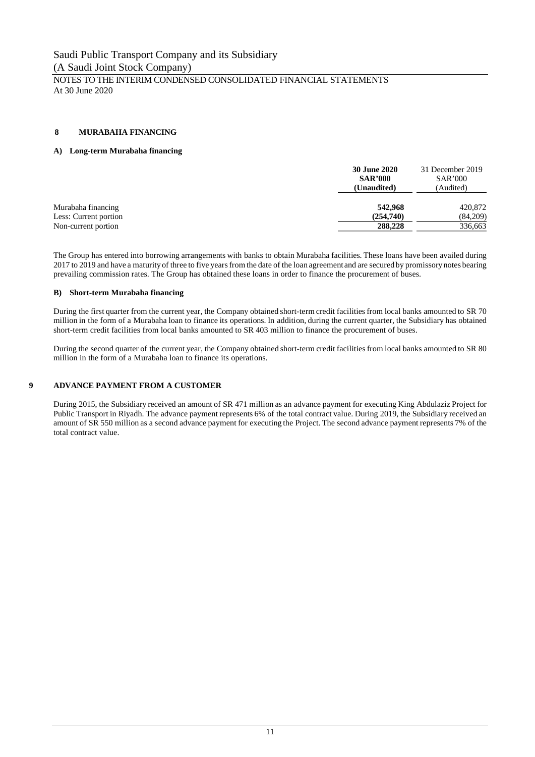NOTES TO THE INTERIM CONDENSED CONSOLIDATED FINANCIAL STATEMENTS At 30 June 2020

#### **8 MURABAHA FINANCING**

#### **A) Long-term Murabaha financing**

|                       | <b>30 June 2020</b><br><b>SAR'000</b><br>(Unaudited) | 31 December 2019<br>SAR'000<br>(Audited) |
|-----------------------|------------------------------------------------------|------------------------------------------|
| Murabaha financing    | 542,968                                              | 420,872                                  |
| Less: Current portion | (254,740)                                            | (84,209)                                 |
| Non-current portion   | 288,228                                              | 336,663                                  |

The Group has entered into borrowing arrangements with banks to obtain Murabaha facilities. These loans have been availed during 2017 to 2019 and have a maturity of three to five years from the date of the loan agreement and are secured by promissory notes bearing prevailing commission rates. The Group has obtained these loans in order to finance the procurement of buses.

#### **B) Short-term Murabaha financing**

During the first quarter from the current year, the Company obtained short-term credit facilities from local banks amounted to SR 70 million in the form of a Murabaha loan to finance its operations. In addition, during the current quarter, the Subsidiary has obtained short-term credit facilities from local banks amounted to SR 403 million to finance the procurement of buses.

During the second quarter of the current year, the Company obtained short-term credit facilities from local banks amounted to SR 80 million in the form of a Murabaha loan to finance its operations.

#### **9 ADVANCE PAYMENT FROM A CUSTOMER**

During 2015, the Subsidiary received an amount of SR 471 million as an advance payment for executing King Abdulaziz Project for Public Transport in Riyadh. The advance payment represents 6% of the total contract value. During 2019, the Subsidiary received an amount of SR 550 million as a second advance payment for executing the Project. The second advance payment represents 7% of the total contract value.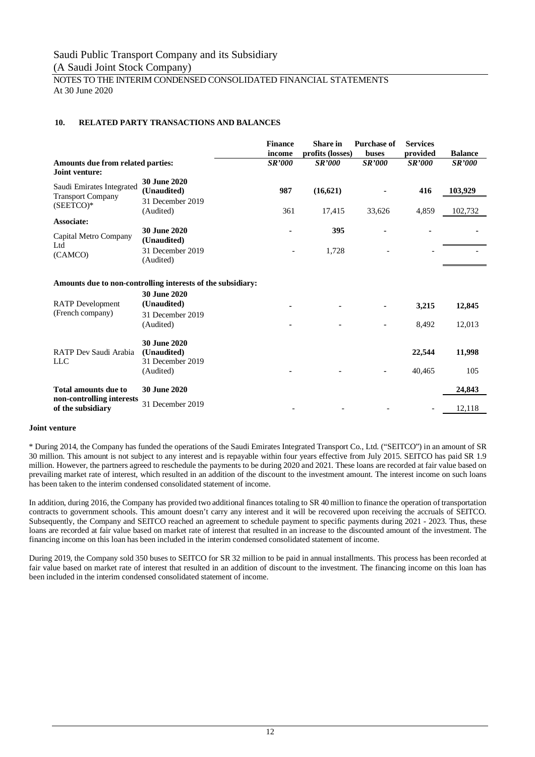NOTES TO THE INTERIM CONDENSED CONSOLIDATED FINANCIAL STATEMENTS At 30 June 2020

#### **10. RELATED PARTY TRANSACTIONS AND BALANCES**

|                                                                                                                        |                                                             | <b>Finance</b><br>income | <b>Share</b> in<br>profits (losses) | <b>Purchase of</b><br>buses | <b>Services</b><br>provided | <b>Balance</b> |
|------------------------------------------------------------------------------------------------------------------------|-------------------------------------------------------------|--------------------------|-------------------------------------|-----------------------------|-----------------------------|----------------|
| Amounts due from related parties:<br>Joint venture:                                                                    |                                                             | <b>SR'000</b>            | <b>SR'000</b>                       | <b>SR'000</b>               | <b>SR'000</b>               | <b>SR'000</b>  |
| Saudi Emirates Integrated<br><b>Transport Company</b><br>$(SEETCO)*$                                                   | <b>30 June 2020</b><br>(Unaudited)                          | 987                      | (16, 621)                           |                             | 416                         | 103,929        |
|                                                                                                                        | 31 December 2019<br>(Audited)                               | 361                      | 17,415                              | 33,626                      | 4,859                       | 102,732        |
| Associate:<br>Capital Metro Company                                                                                    | 30 June 2020<br>(Unaudited)                                 |                          | 395                                 |                             |                             |                |
| (CAMCO)                                                                                                                | 31 December 2019<br>(Audited)                               |                          | 1,728                               |                             |                             |                |
|                                                                                                                        | Amounts due to non-controlling interests of the subsidiary: |                          |                                     |                             |                             |                |
| <b>RATP</b> Development                                                                                                | 30 June 2020<br>(Unaudited)                                 |                          |                                     |                             | 3,215                       | 12,845         |
|                                                                                                                        | 31 December 2019<br>(Audited)                               |                          |                                     | $\blacksquare$              | 8,492                       | 12,013         |
| RATP Dev Saudi Arabia                                                                                                  | 30 June 2020<br>(Unaudited)<br>31 December 2019             |                          |                                     |                             | 22,544                      | 11,998         |
|                                                                                                                        | (Audited)                                                   |                          |                                     |                             | 40,465                      | 105            |
| Ltd<br>(French company)<br><b>LLC</b><br><b>Total amounts due to</b><br>non-controlling interests<br>of the subsidiary | 30 June 2020                                                |                          |                                     |                             |                             | 24,843         |
|                                                                                                                        | 31 December 2019                                            |                          |                                     |                             |                             | 12,118         |

#### **Joint venture**

\* During 2014, the Company has funded the operations of the Saudi Emirates Integrated Transport Co., Ltd. ("SEITCO") in an amount of SR 30 million. This amount is not subject to any interest and is repayable within four years effective from July 2015. SEITCO has paid SR 1.9 million. However, the partners agreed to reschedule the payments to be during 2020 and 2021. These loans are recorded at fair value based on prevailing market rate of interest, which resulted in an addition of the discount to the investment amount. The interest income on such loans has been taken to the interim condensed consolidated statement of income.

In addition, during 2016, the Company has provided two additional finances totaling to SR 40 million to finance the operation of transportation contracts to government schools. This amount doesn't carry any interest and it will be recovered upon receiving the accruals of SEITCO. Subsequently, the Company and SEITCO reached an agreement to schedule payment to specific payments during 2021 - 2023. Thus, these loans are recorded at fair value based on market rate of interest that resulted in an increase to the discounted amount of the investment. The financing income on this loan has been included in the interim condensed consolidated statement of income.

During 2019, the Company sold 350 buses to SEITCO for SR 32 million to be paid in annual installments. This process has been recorded at fair value based on market rate of interest that resulted in an addition of discount to the investment. The financing income on this loan has been included in the interim condensed consolidated statement of income.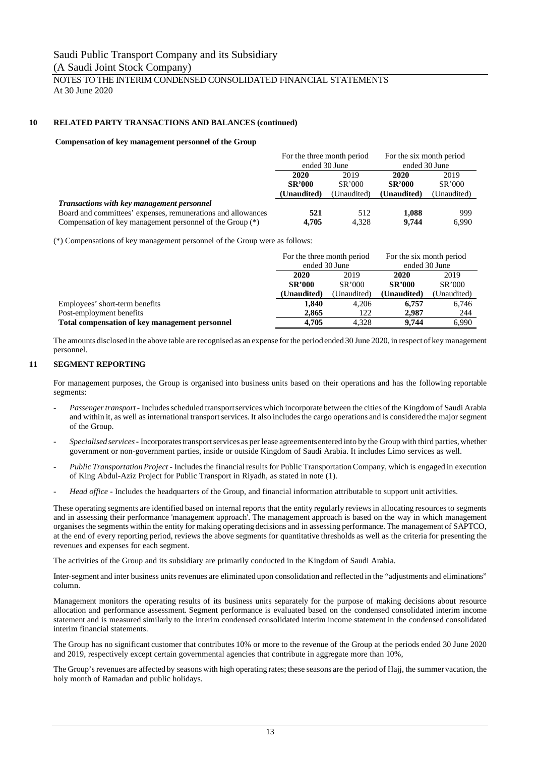#### NOTES TO THE INTERIM CONDENSED CONSOLIDATED FINANCIAL STATEMENTS At 30 June 2020

#### **10 RELATED PARTY TRANSACTIONS AND BALANCES (continued)**

#### **Compensation of key management personnel of the Group**

|                                                              | For the three month period |             | For the six month period |             |
|--------------------------------------------------------------|----------------------------|-------------|--------------------------|-------------|
|                                                              | ended 30 June              |             | ended 30 June            |             |
|                                                              | 2020<br>2019               |             | 2020                     | 2019        |
|                                                              | <b>SR'000</b>              | SR'000      | <b>SR'000</b>            | SR'000      |
|                                                              | (Unaudited)                | (Unaudited) | (Unaudited)              | (Unaudited) |
| Transactions with key management personnel                   |                            |             |                          |             |
| Board and committees' expenses, remunerations and allowances | 521                        | 512         | 1,088                    | 999         |
| Compensation of key management personnel of the Group (*)    | 4.705                      | 4.328       | 9.744                    | 6,990       |

(\*) Compensations of key management personnel of the Group were as follows:

|                                                | For the three month period |             | For the six month period |             |
|------------------------------------------------|----------------------------|-------------|--------------------------|-------------|
|                                                | ended 30 June              |             | ended 30 June            |             |
|                                                | 2020<br>2019               |             | 2020                     | 2019        |
|                                                | <b>SR'000</b><br>SR'000    |             | <b>SR'000</b>            | SR'000      |
|                                                | (Unaudited)                | (Unaudited) | (Unaudited)              | (Unaudited) |
| Employees' short-term benefits                 | 1.840                      | 4.206       | 6.757                    | 6,746       |
| Post-employment benefits                       | 2,865                      | 122         | 2,987                    | 244         |
| Total compensation of key management personnel | 4.705                      | 4.328       | 9.744                    | 6,990       |

The amounts disclosed in the above table are recognised as an expense for the period ended 30 June 2020, in respect of key management personnel.

#### **11 SEGMENT REPORTING**

For management purposes, the Group is organised into business units based on their operations and has the following reportable segments:

- *Passenger transport* Includes scheduled transport services which incorporate between the cities of the Kingdom of Saudi Arabia and within it, as well as international transport services. It also includes the cargo operations and is considered the major segment of the Group.
- *Specialised services* Incorporates transport services as per lease agreements entered into by the Group with third parties, whether government or non-government parties, inside or outside Kingdom of Saudi Arabia. It includes Limo services as well.
- *Public Transportation Project* Includes the financial results for Public Transportation Company, which is engaged in execution of King Abdul-Aziz Project for Public Transport in Riyadh, as stated in note (1).
- Head office Includes the headquarters of the Group, and financial information attributable to support unit activities.

These operating segments are identified based on internal reports that the entity regularly reviews in allocating resources to segments and in assessing their performance 'management approach'. The management approach is based on the way in which management organises the segments within the entity for making operating decisions and in assessing performance. The management of SAPTCO, at the end of every reporting period, reviews the above segments for quantitative thresholds as well as the criteria for presenting the revenues and expenses for each segment.

The activities of the Group and its subsidiary are primarily conducted in the Kingdom of Saudi Arabia.

Inter-segment and inter business units revenues are eliminated upon consolidation and reflected in the "adjustments and eliminations" column.

Management monitors the operating results of its business units separately for the purpose of making decisions about resource allocation and performance assessment. Segment performance is evaluated based on the condensed consolidated interim income statement and is measured similarly to the interim condensed consolidated interim income statement in the condensed consolidated interim financial statements.

The Group has no significant customer that contributes 10% or more to the revenue of the Group at the periods ended 30 June 2020 and 2019, respectively except certain governmental agencies that contribute in aggregate more than 10%,

The Group's revenues are affected by seasons with high operating rates; these seasons are the period of Hajj, the summer vacation, the holy month of Ramadan and public holidays.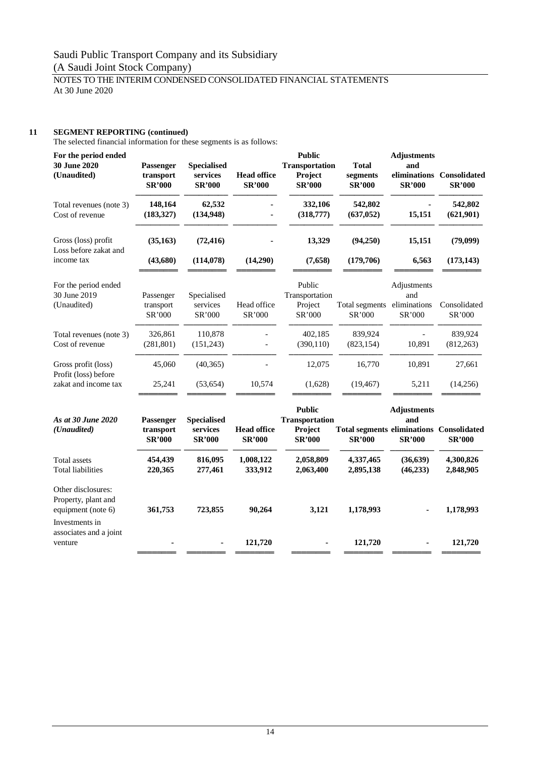### NOTES TO THE INTERIM CONDENSED CONSOLIDATED FINANCIAL STATEMENTS At 30 June 2020

### **11 SEGMENT REPORTING (continued)**

The selected financial information for these segments is as follows:

| For the period ended<br>30 June 2020<br>(Unaudited)                 | Passenger<br>transport<br><b>SR'000</b> | <b>Specialised</b><br>services<br><b>SR'000</b> | <b>Head office</b><br><b>SR'000</b> | <b>Public</b><br><b>Transportation</b><br>Project<br><b>SR'000</b> | <b>Total</b><br>segments<br><b>SR'000</b>                        | <b>Adjustments</b><br>and<br><b>SR'000</b>   | eliminations Consolidated<br><b>SR'000</b> |
|---------------------------------------------------------------------|-----------------------------------------|-------------------------------------------------|-------------------------------------|--------------------------------------------------------------------|------------------------------------------------------------------|----------------------------------------------|--------------------------------------------|
| Total revenues (note 3)<br>Cost of revenue                          | 148,164<br>(183, 327)                   | 62,532<br>(134, 948)                            |                                     | 332,106<br>(318,777)                                               | 542,802<br>(637, 052)                                            | 15,151                                       | 542,802<br>(621,901)                       |
| Gross (loss) profit<br>Loss before zakat and<br>income tax          | (35, 163)<br>(43,680)                   | (72, 416)<br>(114, 078)                         | (14,290)                            | 13,329<br>(7,658)                                                  | (94,250)<br>(179, 706)                                           | 15,151<br>6,563                              | (79,099)<br>(173, 143)                     |
| For the period ended<br>30 June 2019<br>(Unaudited)                 | Passenger<br>transport<br>SR'000        | Specialised<br>services<br>SR'000               | Head office<br>SR'000               | Public<br>Transportation<br>Project<br>SR'000                      | Total segments<br>SR'000                                         | Adjustments<br>and<br>eliminations<br>SR'000 | Consolidated<br>SR'000                     |
| Total revenues (note 3)<br>Cost of revenue                          | 326,861<br>(281, 801)                   | 110,878<br>(151, 243)                           |                                     | 402,185<br>(390, 110)                                              | 839,924<br>(823, 154)                                            | 10,891                                       | 839,924<br>(812, 263)                      |
| Gross profit (loss)<br>Profit (loss) before<br>zakat and income tax | 45,060<br>25,241                        | (40, 365)<br>(53, 654)                          | 10,574                              | 12,075<br>(1,628)                                                  | 16,770<br>(19, 467)                                              | 10,891<br>5,211                              | 27,661<br>(14,256)                         |
| As at 30 June 2020<br>(Unaudited)                                   | Passenger<br>transport<br><b>SR'000</b> | <b>Specialised</b><br>services<br><b>SR'000</b> | <b>Head office</b><br><b>SR'000</b> | <b>Public</b><br><b>Transportation</b><br>Project<br><b>SR'000</b> | <b>Total segments eliminations Consolidated</b><br><b>SR'000</b> | <b>Adjustments</b><br>and<br><b>SR'000</b>   | <b>SR'000</b>                              |
| <b>Total assets</b><br><b>Total liabilities</b>                     | 454,439<br>220,365                      | 816,095<br>277,461                              | 1,008,122<br>333,912                | 2,058,809<br>2,063,400                                             | 4,337,465<br>2,895,138                                           | (36, 639)<br>(46, 233)                       | 4,300,826<br>2,848,905                     |
| Other disclosures:<br>Property, plant and<br>equipment (note 6)     | 361,753                                 | 723,855                                         | 90,264                              | 3,121                                                              | 1,178,993                                                        |                                              | 1,178,993                                  |
| Investments in<br>associates and a joint<br>venture                 |                                         |                                                 | 121,720                             |                                                                    | 121,720                                                          |                                              | 121,720                                    |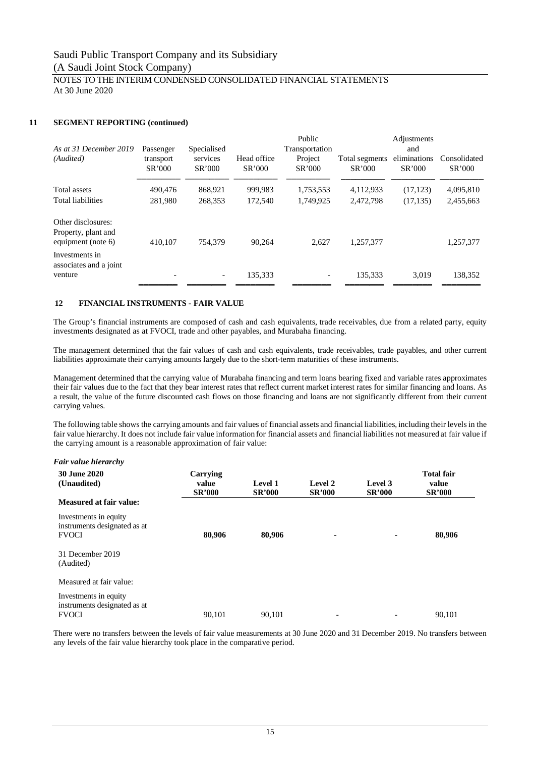#### NOTES TO THE INTERIM CONDENSED CONSOLIDATED FINANCIAL STATEMENTS At 30 June 2020

#### **11 SEGMENT REPORTING (continued)**

| As at 31 December 2019                                          | Passenger           | Specialised              |                       | Public<br>Transportation |                          | Adjustments<br>and     |                        |
|-----------------------------------------------------------------|---------------------|--------------------------|-----------------------|--------------------------|--------------------------|------------------------|------------------------|
| (Audited)                                                       | transport<br>SR'000 | services<br>SR'000       | Head office<br>SR'000 | Project<br>SR'000        | Total segments<br>SR'000 | eliminations<br>SR'000 | Consolidated<br>SR'000 |
| Total assets                                                    | 490,476             | 868,921                  | 999,983               | 1,753,553                | 4,112,933                | (17, 123)              | 4,095,810              |
| Total liabilities                                               | 281.980             | 268.353                  | 172,540               | 1,749,925                | 2,472,798                | (17, 135)              | 2,455,663              |
| Other disclosures:<br>Property, plant and<br>equipment (note 6) | 410.107             | 754,379                  | 90.264                | 2.627                    | 1.257.377                |                        | 1.257.377              |
| Investments in<br>associates and a joint<br>venture             |                     | $\overline{\phantom{a}}$ | 135,333               |                          | 135,333                  | 3.019                  | 138,352                |

#### **12 FINANCIAL INSTRUMENTS - FAIR VALUE**

The Group's financial instruments are composed of cash and cash equivalents, trade receivables, due from a related party, equity investments designated as at FVOCI, trade and other payables, and Murabaha financing.

The management determined that the fair values of cash and cash equivalents, trade receivables, trade payables, and other current liabilities approximate their carrying amounts largely due to the short-term maturities of these instruments.

Management determined that the carrying value of Murabaha financing and term loans bearing fixed and variable rates approximates their fair values due to the fact that they bear interest rates that reflect current market interest rates for similar financing and loans. As a result, the value of the future discounted cash flows on those financing and loans are not significantly different from their current carrying values.

The following table shows the carrying amounts and fair values of financial assets and financial liabilities, including their levels in the fair value hierarchy. It does not include fair value information for financial assets and financial liabilities not measured at fair value if the carrying amount is a reasonable approximation of fair value:

| Fair value hierarchv                                                  |                                    |                          |                          |                          |                                             |
|-----------------------------------------------------------------------|------------------------------------|--------------------------|--------------------------|--------------------------|---------------------------------------------|
| <b>30 June 2020</b><br>(Unaudited)                                    | Carrying<br>value<br><b>SR'000</b> | Level 1<br><b>SR'000</b> | Level 2<br><b>SR'000</b> | Level 3<br><b>SR'000</b> | <b>Total fair</b><br>value<br><b>SR'000</b> |
| Measured at fair value:                                               |                                    |                          |                          |                          |                                             |
| Investments in equity<br>instruments designated as at<br><b>FVOCI</b> | 80,906                             | 80,906                   |                          |                          | 80,906                                      |
| 31 December 2019<br>(Audited)                                         |                                    |                          |                          |                          |                                             |
| Measured at fair value:                                               |                                    |                          |                          |                          |                                             |
| Investments in equity<br>instruments designated as at<br><b>FVOCI</b> | 90.101                             | 90.101                   | $\overline{\phantom{a}}$ |                          | 90.101                                      |

There were no transfers between the levels of fair value measurements at 30 June 2020 and 31 December 2019. No transfers between any levels of the fair value hierarchy took place in the comparative period.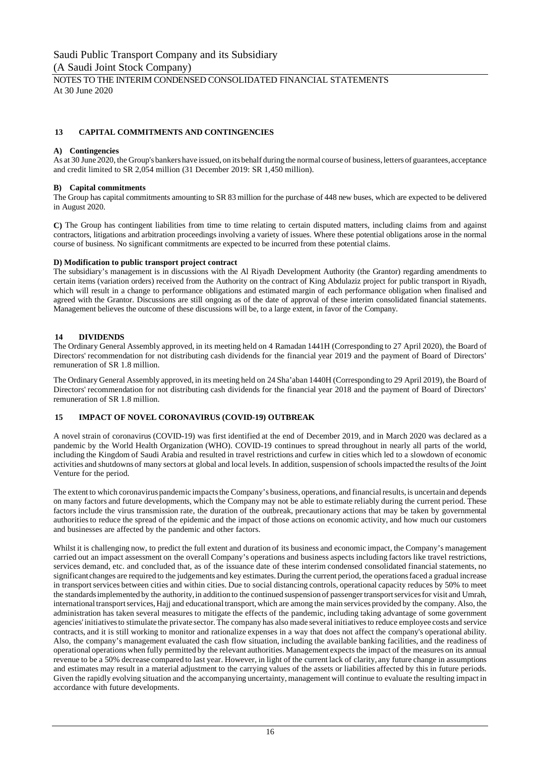NOTES TO THE INTERIM CONDENSED CONSOLIDATED FINANCIAL STATEMENTS At 30 June 2020

#### **13 CAPITAL COMMITMENTS AND CONTINGENCIES**

#### **A) Contingencies**

As at 30 June 2020, the Group's bankers have issued, on its behalf during the normal course of business, letters of guarantees, acceptance and credit limited to SR 2,054 million (31 December 2019: SR 1,450 million).

#### **B) Capital commitments**

The Group has capital commitments amounting to SR 83 million for the purchase of 448 new buses, which are expected to be delivered in August 2020.

**C)** The Group has contingent liabilities from time to time relating to certain disputed matters, including claims from and against contractors, litigations and arbitration proceedings involving a variety of issues. Where these potential obligations arose in the normal course of business. No significant commitments are expected to be incurred from these potential claims.

#### **D) Modification to public transport project contract**

The subsidiary's management is in discussions with the Al Riyadh Development Authority (the Grantor) regarding amendments to certain items (variation orders) received from the Authority on the contract of King Abdulaziz project for public transport in Riyadh, which will result in a change to performance obligations and estimated margin of each performance obligation when finalised and agreed with the Grantor. Discussions are still ongoing as of the date of approval of these interim consolidated financial statements. Management believes the outcome of these discussions will be, to a large extent, in favor of the Company.

#### **14 DIVIDENDS**

The Ordinary General Assembly approved, in its meeting held on 4 Ramadan 1441H (Corresponding to 27 April 2020), the Board of Directors' recommendation for not distributing cash dividends for the financial year 2019 and the payment of Board of Directors' remuneration of SR 1.8 million.

The Ordinary General Assembly approved, in its meeting held on 24 Sha'aban 1440H (Corresponding to 29 April 2019), the Board of Directors' recommendation for not distributing cash dividends for the financial year 2018 and the payment of Board of Directors' remuneration of SR 1.8 million.

#### **15 IMPACT OF NOVEL CORONAVIRUS (COVID-19) OUTBREAK**

A novel strain of coronavirus (COVID-19) was first identified at the end of December 2019, and in March 2020 was declared as a pandemic by the World Health Organization (WHO). COVID-19 continues to spread throughout in nearly all parts of the world, including the Kingdom of Saudi Arabia and resulted in travel restrictions and curfew in cities which led to a slowdown of economic activities and shutdowns of many sectors at global and local levels. In addition, suspension of schools impacted the results of the Joint Venture for the period.

The extent to which coronavirus pandemic impacts the Company's business, operations, and financial results, is uncertain and depends on many factors and future developments, which the Company may not be able to estimate reliably during the current period. These factors include the virus transmission rate, the duration of the outbreak, precautionary actions that may be taken by governmental authorities to reduce the spread of the epidemic and the impact of those actions on economic activity, and how much our customers and businesses are affected by the pandemic and other factors.

Whilst it is challenging now, to predict the full extent and duration of its business and economic impact, the Company's management carried out an impact assessment on the overall Company's operations and business aspects including factors like travel restrictions, services demand, etc. and concluded that, as of the issuance date of these interim condensed consolidated financial statements, no significant changes are required to the judgements and key estimates. During the current period, the operations faced a gradual increase in transport services between cities and within cities. Due to social distancing controls, operational capacity reduces by 50% to meet the standards implemented by the authority, in addition to the continued suspension of passenger transport services for visit and Umrah, international transport services, Hajj and educational transport, which are among the main services provided by the company. Also, the administration has taken several measures to mitigate the effects of the pandemic, including taking advantage of some government agencies' initiatives to stimulate the private sector. The company has also made several initiatives to reduce employee costs and service contracts, and it is still working to monitor and rationalize expenses in a way that does not affect the company's operational ability. Also, the company's management evaluated the cash flow situation, including the available banking facilities, and the readiness of operational operations when fully permitted by the relevant authorities. Management expects the impact of the measures on its annual revenue to be a 50% decrease compared to last year. However, in light of the current lack of clarity, any future change in assumptions and estimates may result in a material adjustment to the carrying values of the assets or liabilities affected by this in future periods. Given the rapidly evolving situation and the accompanying uncertainty, management will continue to evaluate the resulting impact in accordance with future developments.